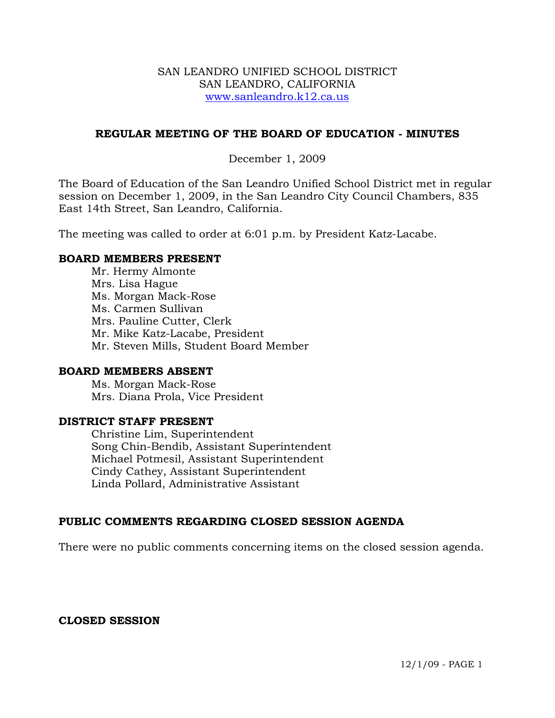### SAN LEANDRO UNIFIED SCHOOL DISTRICT SAN LEANDRO, CALIFORNIA www.sanleandro.k12.ca.us

### **REGULAR MEETING OF THE BOARD OF EDUCATION - MINUTES**

### December 1, 2009

The Board of Education of the San Leandro Unified School District met in regular session on December 1, 2009, in the San Leandro City Council Chambers, 835 East 14th Street, San Leandro, California.

The meeting was called to order at 6:01 p.m. by President Katz-Lacabe.

### **BOARD MEMBERS PRESENT**

Mr. Hermy Almonte Mrs. Lisa Hague Ms. Morgan Mack-Rose Ms. Carmen Sullivan Mrs. Pauline Cutter, Clerk Mr. Mike Katz-Lacabe, President Mr. Steven Mills, Student Board Member

### **BOARD MEMBERS ABSENT**

Ms. Morgan Mack-Rose Mrs. Diana Prola, Vice President

### **DISTRICT STAFF PRESENT**

Christine Lim, Superintendent Song Chin-Bendib, Assistant Superintendent Michael Potmesil, Assistant Superintendent Cindy Cathey, Assistant Superintendent Linda Pollard, Administrative Assistant

# **PUBLIC COMMENTS REGARDING CLOSED SESSION AGENDA**

There were no public comments concerning items on the closed session agenda.

### **CLOSED SESSION**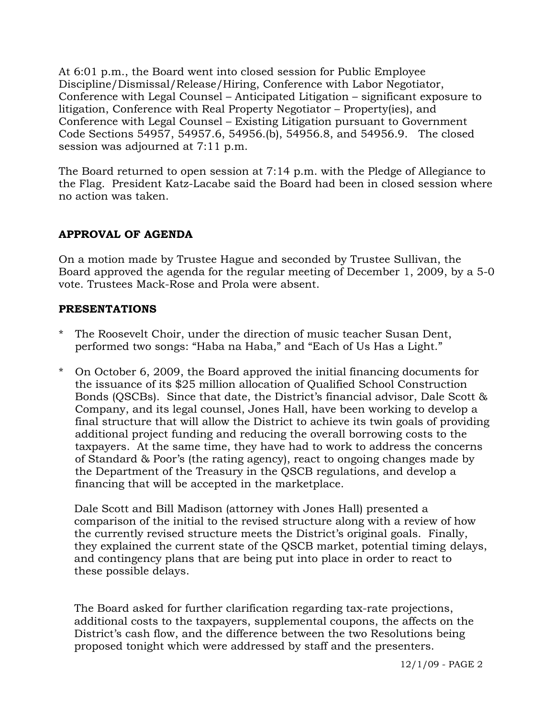At 6:01 p.m., the Board went into closed session for Public Employee Discipline/Dismissal/Release/Hiring, Conference with Labor Negotiator, Conference with Legal Counsel – Anticipated Litigation – significant exposure to litigation, Conference with Real Property Negotiator – Property(ies), and Conference with Legal Counsel – Existing Litigation pursuant to Government Code Sections 54957, 54957.6, 54956.(b), 54956.8, and 54956.9. The closed session was adjourned at 7:11 p.m.

The Board returned to open session at 7:14 p.m. with the Pledge of Allegiance to the Flag. President Katz-Lacabe said the Board had been in closed session where no action was taken.

# **APPROVAL OF AGENDA**

On a motion made by Trustee Hague and seconded by Trustee Sullivan, the Board approved the agenda for the regular meeting of December 1, 2009, by a 5-0 vote. Trustees Mack-Rose and Prola were absent.

# **PRESENTATIONS**

- The Roosevelt Choir, under the direction of music teacher Susan Dent, performed two songs: "Haba na Haba," and "Each of Us Has a Light."
- \* On October 6, 2009, the Board approved the initial financing documents for the issuance of its \$25 million allocation of Qualified School Construction Bonds (QSCBs). Since that date, the District's financial advisor, Dale Scott & Company, and its legal counsel, Jones Hall, have been working to develop a final structure that will allow the District to achieve its twin goals of providing additional project funding and reducing the overall borrowing costs to the taxpayers. At the same time, they have had to work to address the concerns of Standard & Poor's (the rating agency), react to ongoing changes made by the Department of the Treasury in the QSCB regulations, and develop a financing that will be accepted in the marketplace.

 Dale Scott and Bill Madison (attorney with Jones Hall) presented a comparison of the initial to the revised structure along with a review of how the currently revised structure meets the District's original goals. Finally, they explained the current state of the QSCB market, potential timing delays, and contingency plans that are being put into place in order to react to these possible delays.

 The Board asked for further clarification regarding tax-rate projections, additional costs to the taxpayers, supplemental coupons, the affects on the District's cash flow, and the difference between the two Resolutions being proposed tonight which were addressed by staff and the presenters.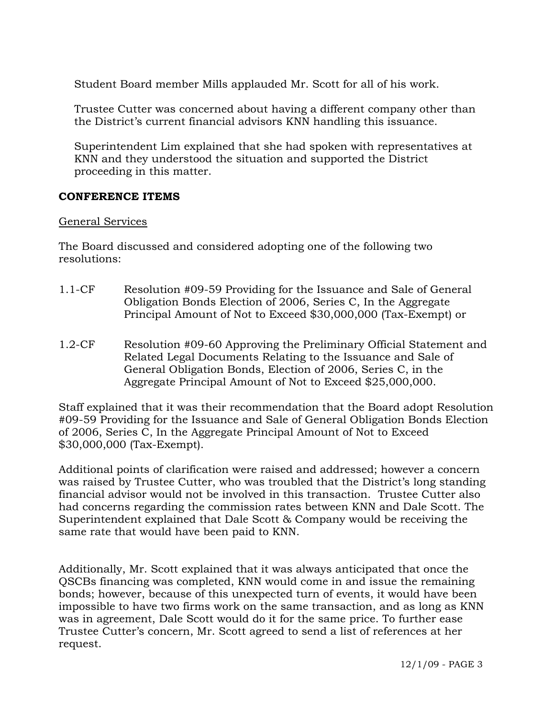Student Board member Mills applauded Mr. Scott for all of his work.

 Trustee Cutter was concerned about having a different company other than the District's current financial advisors KNN handling this issuance.

 Superintendent Lim explained that she had spoken with representatives at KNN and they understood the situation and supported the District proceeding in this matter.

### **CONFERENCE ITEMS**

### General Services

The Board discussed and considered adopting one of the following two resolutions:

- 1.1-CF Resolution #09-59 Providing for the Issuance and Sale of General Obligation Bonds Election of 2006, Series C, In the Aggregate Principal Amount of Not to Exceed \$30,000,000 (Tax-Exempt) or
- 1.2-CF Resolution #09-60 Approving the Preliminary Official Statement and Related Legal Documents Relating to the Issuance and Sale of General Obligation Bonds, Election of 2006, Series C, in the Aggregate Principal Amount of Not to Exceed \$25,000,000.

Staff explained that it was their recommendation that the Board adopt Resolution #09-59 Providing for the Issuance and Sale of General Obligation Bonds Election of 2006, Series C, In the Aggregate Principal Amount of Not to Exceed \$30,000,000 (Tax-Exempt).

Additional points of clarification were raised and addressed; however a concern was raised by Trustee Cutter, who was troubled that the District's long standing financial advisor would not be involved in this transaction. Trustee Cutter also had concerns regarding the commission rates between KNN and Dale Scott. The Superintendent explained that Dale Scott & Company would be receiving the same rate that would have been paid to KNN.

Additionally, Mr. Scott explained that it was always anticipated that once the QSCBs financing was completed, KNN would come in and issue the remaining bonds; however, because of this unexpected turn of events, it would have been impossible to have two firms work on the same transaction, and as long as KNN was in agreement, Dale Scott would do it for the same price. To further ease Trustee Cutter's concern, Mr. Scott agreed to send a list of references at her request.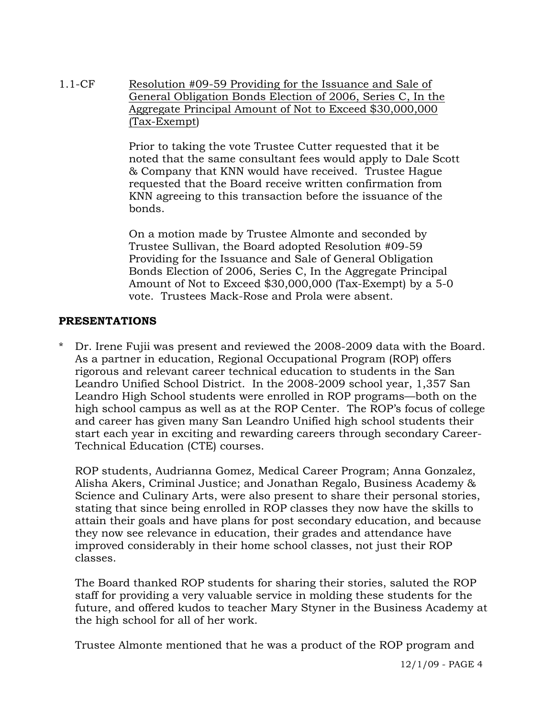1.1-CF Resolution #09-59 Providing for the Issuance and Sale of General Obligation Bonds Election of 2006, Series C, In the Aggregate Principal Amount of Not to Exceed \$30,000,000 (Tax-Exempt)

> Prior to taking the vote Trustee Cutter requested that it be noted that the same consultant fees would apply to Dale Scott & Company that KNN would have received. Trustee Hague requested that the Board receive written confirmation from KNN agreeing to this transaction before the issuance of the bonds.

On a motion made by Trustee Almonte and seconded by Trustee Sullivan, the Board adopted Resolution #09-59 Providing for the Issuance and Sale of General Obligation Bonds Election of 2006, Series C, In the Aggregate Principal Amount of Not to Exceed \$30,000,000 (Tax-Exempt) by a 5-0 vote. Trustees Mack-Rose and Prola were absent.

# **PRESENTATIONS**

\* Dr. Irene Fujii was present and reviewed the 2008-2009 data with the Board. As a partner in education, Regional Occupational Program (ROP) offers rigorous and relevant career technical education to students in the San Leandro Unified School District. In the 2008-2009 school year, 1,357 San Leandro High School students were enrolled in ROP programs—both on the high school campus as well as at the ROP Center. The ROP's focus of college and career has given many San Leandro Unified high school students their start each year in exciting and rewarding careers through secondary Career-Technical Education (CTE) courses.

ROP students, Audrianna Gomez, Medical Career Program; Anna Gonzalez, Alisha Akers, Criminal Justice; and Jonathan Regalo, Business Academy & Science and Culinary Arts, were also present to share their personal stories, stating that since being enrolled in ROP classes they now have the skills to attain their goals and have plans for post secondary education, and because they now see relevance in education, their grades and attendance have improved considerably in their home school classes, not just their ROP classes.

 The Board thanked ROP students for sharing their stories, saluted the ROP staff for providing a very valuable service in molding these students for the future, and offered kudos to teacher Mary Styner in the Business Academy at the high school for all of her work.

Trustee Almonte mentioned that he was a product of the ROP program and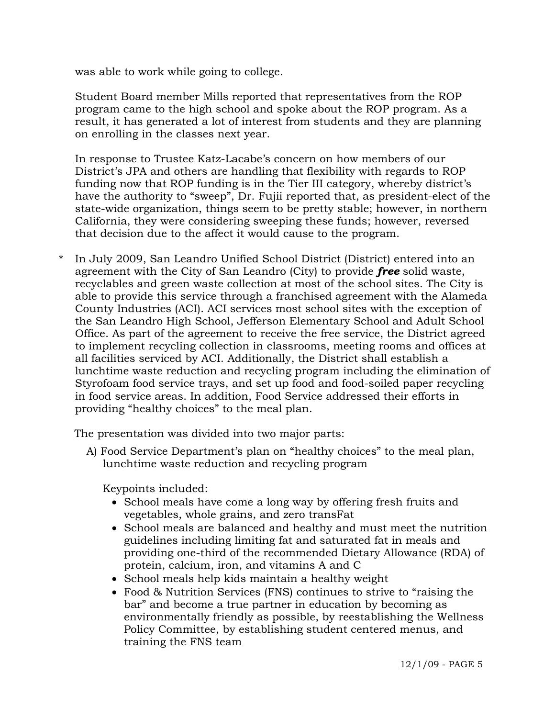was able to work while going to college.

 Student Board member Mills reported that representatives from the ROP program came to the high school and spoke about the ROP program. As a result, it has generated a lot of interest from students and they are planning on enrolling in the classes next year.

 In response to Trustee Katz-Lacabe's concern on how members of our District's JPA and others are handling that flexibility with regards to ROP funding now that ROP funding is in the Tier III category, whereby district's have the authority to "sweep", Dr. Fujii reported that, as president-elect of the state-wide organization, things seem to be pretty stable; however, in northern California, they were considering sweeping these funds; however, reversed that decision due to the affect it would cause to the program.

\* In July 2009, San Leandro Unified School District (District) entered into an agreement with the City of San Leandro (City) to provide *free* solid waste, recyclables and green waste collection at most of the school sites. The City is able to provide this service through a franchised agreement with the Alameda County Industries (ACI). ACI services most school sites with the exception of the San Leandro High School, Jefferson Elementary School and Adult School Office. As part of the agreement to receive the free service, the District agreed to implement recycling collection in classrooms, meeting rooms and offices at all facilities serviced by ACI. Additionally, the District shall establish a lunchtime waste reduction and recycling program including the elimination of Styrofoam food service trays, and set up food and food-soiled paper recycling in food service areas. In addition, Food Service addressed their efforts in providing "healthy choices" to the meal plan.

The presentation was divided into two major parts:

A) Food Service Department's plan on "healthy choices" to the meal plan, lunchtime waste reduction and recycling program

Keypoints included:

- School meals have come a long way by offering fresh fruits and vegetables, whole grains, and zero transFat
- School meals are balanced and healthy and must meet the nutrition guidelines including limiting fat and saturated fat in meals and providing one-third of the recommended Dietary Allowance (RDA) of protein, calcium, iron, and vitamins A and C
- School meals help kids maintain a healthy weight
- Food & Nutrition Services (FNS) continues to strive to "raising the bar" and become a true partner in education by becoming as environmentally friendly as possible, by reestablishing the Wellness Policy Committee, by establishing student centered menus, and training the FNS team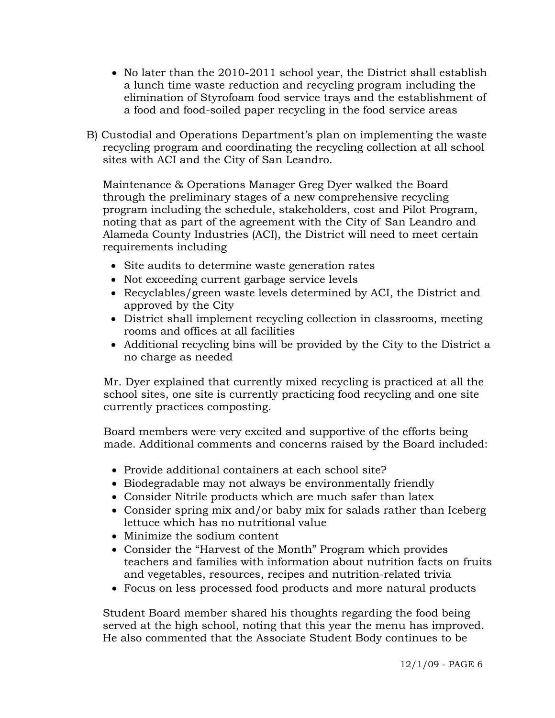- No later than the 2010-2011 school year, the District shall establish a lunch time waste reduction and recycling program including the elimination of Styrofoam food service trays and the establishment of a food and food-soiled paper recycling in the food service areas
- B) Custodial and Operations Department's plan on implementing the waste recycling program and coordinating the recycling collection at all school sites with ACI and the City of San Leandro.

 Maintenance & Operations Manager Greg Dyer walked the Board through the preliminary stages of a new comprehensive recycling program including the schedule, stakeholders, cost and Pilot Program, noting that as part of the agreement with the City of San Leandro and Alameda County Industries (ACI), the District will need to meet certain requirements including

- Site audits to determine waste generation rates
- Not exceeding current garbage service levels
- Recyclables/green waste levels determined by ACI, the District and approved by the City
- District shall implement recycling collection in classrooms, meeting rooms and offices at all facilities
- Additional recycling bins will be provided by the City to the District a no charge as needed

Mr. Dyer explained that currently mixed recycling is practiced at all the school sites, one site is currently practicing food recycling and one site currently practices composting.

Board members were very excited and supportive of the efforts being made. Additional comments and concerns raised by the Board included:

- Provide additional containers at each school site?
- Biodegradable may not always be environmentally friendly
- Consider Nitrile products which are much safer than latex
- Consider spring mix and/or baby mix for salads rather than Iceberg lettuce which has no nutritional value
- Minimize the sodium content
- Consider the "Harvest of the Month" Program which provides teachers and families with information about nutrition facts on fruits and vegetables, resources, recipes and nutrition-related trivia
- Focus on less processed food products and more natural products

 Student Board member shared his thoughts regarding the food being served at the high school, noting that this year the menu has improved. He also commented that the Associate Student Body continues to be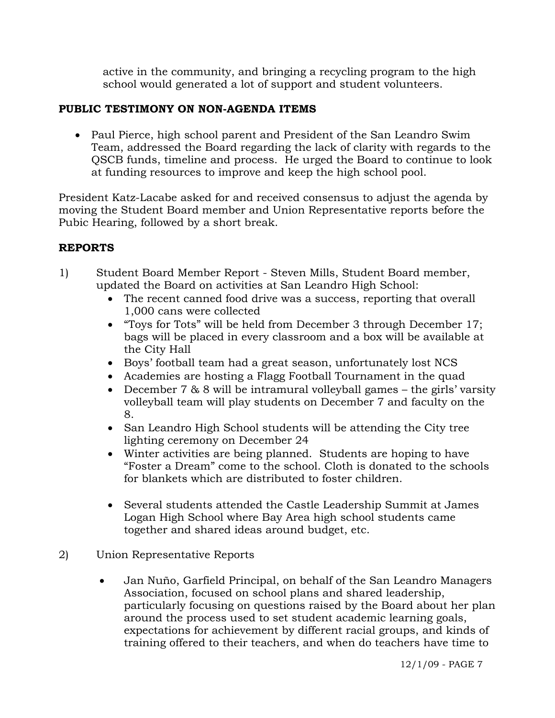active in the community, and bringing a recycling program to the high school would generated a lot of support and student volunteers.

# **PUBLIC TESTIMONY ON NON-AGENDA ITEMS**

• Paul Pierce, high school parent and President of the San Leandro Swim Team, addressed the Board regarding the lack of clarity with regards to the QSCB funds, timeline and process. He urged the Board to continue to look at funding resources to improve and keep the high school pool.

President Katz-Lacabe asked for and received consensus to adjust the agenda by moving the Student Board member and Union Representative reports before the Pubic Hearing, followed by a short break.

# **REPORTS**

- 1) Student Board Member Report Steven Mills, Student Board member, updated the Board on activities at San Leandro High School:
	- The recent canned food drive was a success, reporting that overall 1,000 cans were collected
	- "Toys for Tots" will be held from December 3 through December 17; bags will be placed in every classroom and a box will be available at the City Hall
	- Boys' football team had a great season, unfortunately lost NCS
	- Academies are hosting a Flagg Football Tournament in the quad
	- December 7 & 8 will be intramural volleyball games the girls' varsity volleyball team will play students on December 7 and faculty on the 8.
	- San Leandro High School students will be attending the City tree lighting ceremony on December 24
	- Winter activities are being planned. Students are hoping to have "Foster a Dream" come to the school. Cloth is donated to the schools for blankets which are distributed to foster children.
	- Several students attended the Castle Leadership Summit at James Logan High School where Bay Area high school students came together and shared ideas around budget, etc.
- 2) Union Representative Reports
	- Jan Nuño, Garfield Principal, on behalf of the San Leandro Managers Association, focused on school plans and shared leadership, particularly focusing on questions raised by the Board about her plan around the process used to set student academic learning goals, expectations for achievement by different racial groups, and kinds of training offered to their teachers, and when do teachers have time to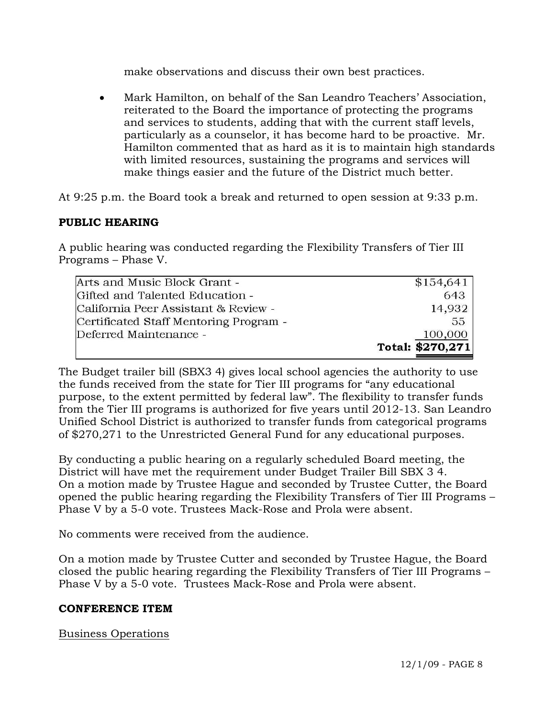make observations and discuss their own best practices.

• Mark Hamilton, on behalf of the San Leandro Teachers' Association, reiterated to the Board the importance of protecting the programs and services to students, adding that with the current staff levels, particularly as a counselor, it has become hard to be proactive. Mr. Hamilton commented that as hard as it is to maintain high standards with limited resources, sustaining the programs and services will make things easier and the future of the District much better.

At 9:25 p.m. the Board took a break and returned to open session at 9:33 p.m.

# **PUBLIC HEARING**

A public hearing was conducted regarding the Flexibility Transfers of Tier III Programs – Phase V.

| Arts and Music Block Grant -           | \$154,641        |
|----------------------------------------|------------------|
| Gifted and Talented Education -        | 643              |
| California Peer Assistant & Review -   | 14,932           |
| Certificated Staff Mentoring Program - | 55               |
| Deferred Maintenance -                 | 100,000          |
|                                        | Total: \$270,271 |

The Budget trailer bill (SBX3 4) gives local school agencies the authority to use the funds received from the state for Tier III programs for "any educational purpose, to the extent permitted by federal law". The flexibility to transfer funds from the Tier III programs is authorized for five years until 2012-13. San Leandro Unified School District is authorized to transfer funds from categorical programs of \$270,271 to the Unrestricted General Fund for any educational purposes.

By conducting a public hearing on a regularly scheduled Board meeting, the District will have met the requirement under Budget Trailer Bill SBX 3 4. On a motion made by Trustee Hague and seconded by Trustee Cutter, the Board opened the public hearing regarding the Flexibility Transfers of Tier III Programs – Phase V by a 5-0 vote. Trustees Mack-Rose and Prola were absent.

No comments were received from the audience.

On a motion made by Trustee Cutter and seconded by Trustee Hague, the Board closed the public hearing regarding the Flexibility Transfers of Tier III Programs – Phase V by a 5-0 vote. Trustees Mack-Rose and Prola were absent.

# **CONFERENCE ITEM**

# Business Operations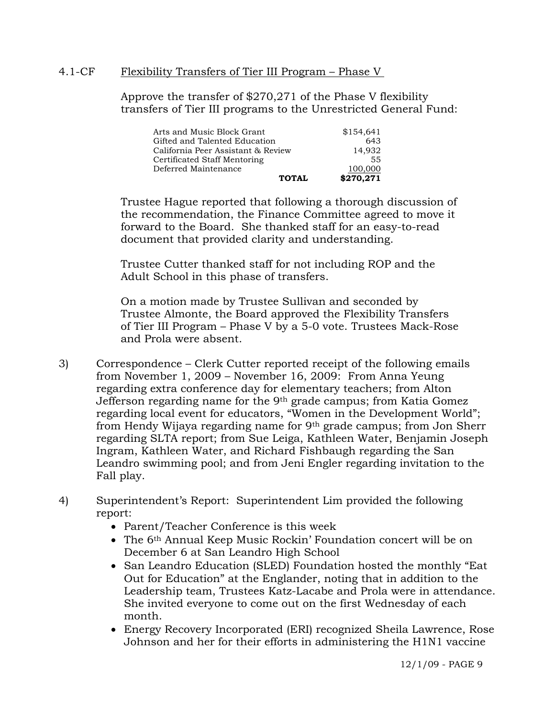### 4.1-CF Flexibility Transfers of Tier III Program – Phase V

Approve the transfer of \$270,271 of the Phase V flexibility transfers of Tier III programs to the Unrestricted General Fund:

| Arts and Music Block Grant         | \$154,641 |
|------------------------------------|-----------|
| Gifted and Talented Education      | 643       |
| California Peer Assistant & Review | 14.932    |
| Certificated Staff Mentoring       | 55        |
| Deferred Maintenance               | 100,000   |
| TOTAL                              | \$270,271 |

Trustee Hague reported that following a thorough discussion of the recommendation, the Finance Committee agreed to move it forward to the Board. She thanked staff for an easy-to-read document that provided clarity and understanding.

Trustee Cutter thanked staff for not including ROP and the Adult School in this phase of transfers.

On a motion made by Trustee Sullivan and seconded by Trustee Almonte, the Board approved the Flexibility Transfers of Tier III Program – Phase V by a 5-0 vote. Trustees Mack-Rose and Prola were absent.

- 3) Correspondence Clerk Cutter reported receipt of the following emails from November 1, 2009 – November 16, 2009: From Anna Yeung regarding extra conference day for elementary teachers; from Alton Jefferson regarding name for the 9th grade campus; from Katia Gomez regarding local event for educators, "Women in the Development World"; from Hendy Wijaya regarding name for 9<sup>th</sup> grade campus; from Jon Sherr regarding SLTA report; from Sue Leiga, Kathleen Water, Benjamin Joseph Ingram, Kathleen Water, and Richard Fishbaugh regarding the San Leandro swimming pool; and from Jeni Engler regarding invitation to the Fall play.
- 4) Superintendent's Report: Superintendent Lim provided the following report:
	- Parent/Teacher Conference is this week
	- The 6<sup>th</sup> Annual Keep Music Rockin' Foundation concert will be on December 6 at San Leandro High School
	- San Leandro Education (SLED) Foundation hosted the monthly "Eat Out for Education" at the Englander, noting that in addition to the Leadership team, Trustees Katz-Lacabe and Prola were in attendance. She invited everyone to come out on the first Wednesday of each month.
	- Energy Recovery Incorporated (ERI) recognized Sheila Lawrence, Rose Johnson and her for their efforts in administering the H1N1 vaccine

12/1/09 - PAGE 9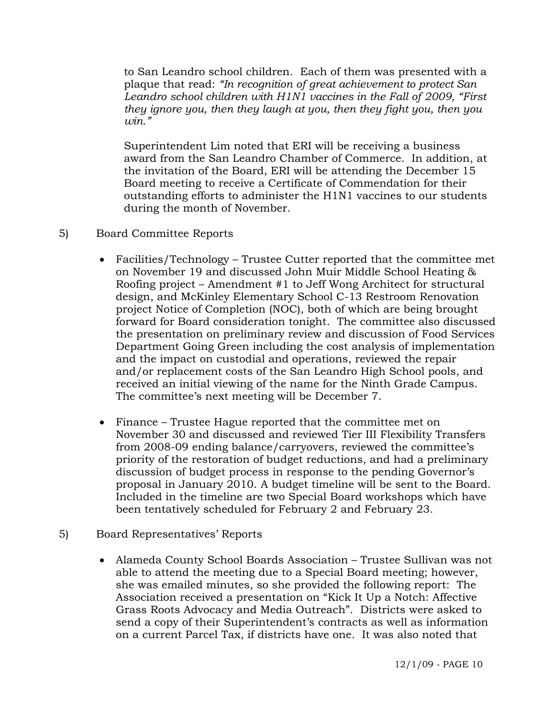to San Leandro school children. Each of them was presented with a plaque that read: *"In recognition of great achievement to protect San Leandro school children with H1N1 vaccines in the Fall of 2009, "First they ignore you, then they laugh at you, then they fight you, then you win."*

Superintendent Lim noted that ERI will be receiving a business award from the San Leandro Chamber of Commerce. In addition, at the invitation of the Board, ERI will be attending the December 15 Board meeting to receive a Certificate of Commendation for their outstanding efforts to administer the H1N1 vaccines to our students during the month of November.

- 5) Board Committee Reports
	- Facilities/Technology Trustee Cutter reported that the committee met on November 19 and discussed John Muir Middle School Heating & Roofing project – Amendment #1 to Jeff Wong Architect for structural design, and McKinley Elementary School C-13 Restroom Renovation project Notice of Completion (NOC), both of which are being brought forward for Board consideration tonight. The committee also discussed the presentation on preliminary review and discussion of Food Services Department Going Green including the cost analysis of implementation and the impact on custodial and operations, reviewed the repair and/or replacement costs of the San Leandro High School pools, and received an initial viewing of the name for the Ninth Grade Campus. The committee's next meeting will be December 7.
	- Finance Trustee Hague reported that the committee met on November 30 and discussed and reviewed Tier III Flexibility Transfers from 2008-09 ending balance/carryovers, reviewed the committee's priority of the restoration of budget reductions, and had a preliminary discussion of budget process in response to the pending Governor's proposal in January 2010. A budget timeline will be sent to the Board. Included in the timeline are two Special Board workshops which have been tentatively scheduled for February 2 and February 23.
- 5) Board Representatives' Reports
	- Alameda County School Boards Association Trustee Sullivan was not able to attend the meeting due to a Special Board meeting; however, she was emailed minutes, so she provided the following report: The Association received a presentation on "Kick It Up a Notch: Affective Grass Roots Advocacy and Media Outreach". Districts were asked to send a copy of their Superintendent's contracts as well as information on a current Parcel Tax, if districts have one. It was also noted that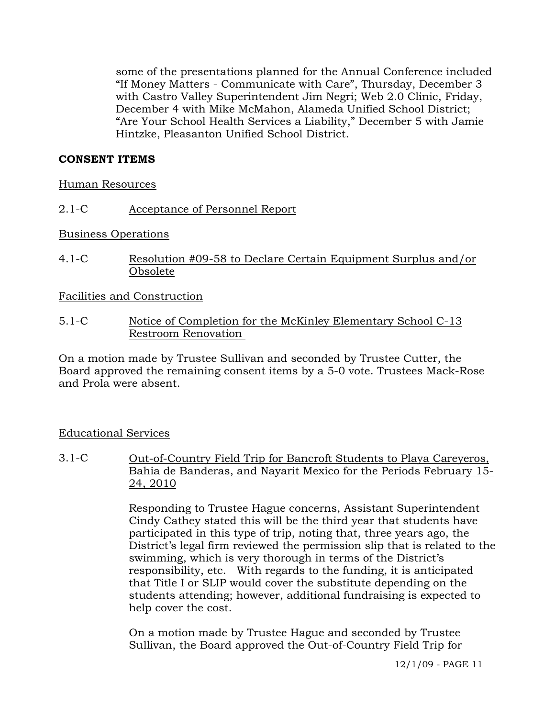some of the presentations planned for the Annual Conference included "If Money Matters - Communicate with Care", Thursday, December 3 with Castro Valley Superintendent Jim Negri; Web 2.0 Clinic, Friday, December 4 with Mike McMahon, Alameda Unified School District; "Are Your School Health Services a Liability," December 5 with Jamie Hintzke, Pleasanton Unified School District.

# **CONSENT ITEMS**

Human Resources

2.1-C Acceptance of Personnel Report

Business Operations

4.1-C Resolution #09-58 to Declare Certain Equipment Surplus and/or Obsolete

Facilities and Construction

5.1-C Notice of Completion for the McKinley Elementary School C-13 Restroom Renovation

On a motion made by Trustee Sullivan and seconded by Trustee Cutter, the Board approved the remaining consent items by a 5-0 vote. Trustees Mack-Rose and Prola were absent.

# Educational Services

3.1-C Out-of-Country Field Trip for Bancroft Students to Playa Careyeros, Bahia de Banderas, and Nayarit Mexico for the Periods February 15- 24, 2010

> Responding to Trustee Hague concerns, Assistant Superintendent Cindy Cathey stated this will be the third year that students have participated in this type of trip, noting that, three years ago, the District's legal firm reviewed the permission slip that is related to the swimming, which is very thorough in terms of the District's responsibility, etc. With regards to the funding, it is anticipated that Title I or SLIP would cover the substitute depending on the students attending; however, additional fundraising is expected to help cover the cost.

On a motion made by Trustee Hague and seconded by Trustee Sullivan, the Board approved the Out-of-Country Field Trip for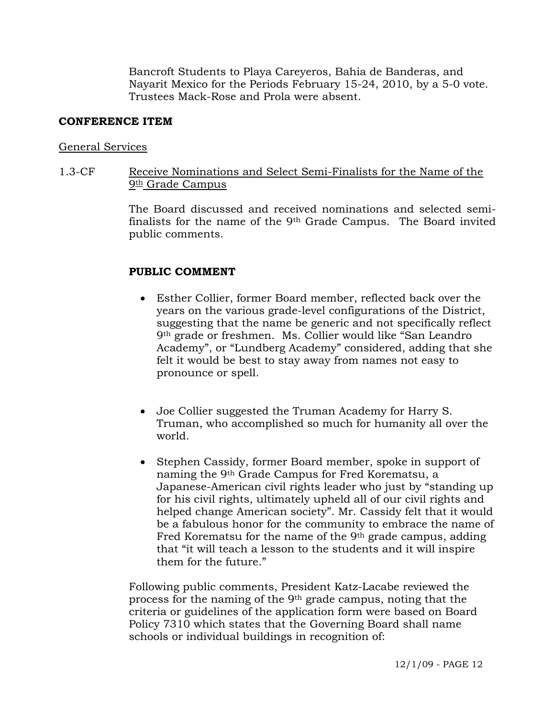Bancroft Students to Playa Careyeros, Bahia de Banderas, and Nayarit Mexico for the Periods February 15-24, 2010, by a 5-0 vote. Trustees Mack-Rose and Prola were absent.

#### **CONFERENCE ITEM**

#### General Services

### 1.3-CF Receive Nominations and Select Semi-Finalists for the Name of the 9<sup>th</sup> Grade Campus

The Board discussed and received nominations and selected semifinalists for the name of the 9th Grade Campus. The Board invited public comments.

### **PUBLIC COMMENT**

- Esther Collier, former Board member, reflected back over the years on the various grade-level configurations of the District, suggesting that the name be generic and not specifically reflect 9th grade or freshmen. Ms. Collier would like "San Leandro Academy", or "Lundberg Academy" considered, adding that she felt it would be best to stay away from names not easy to pronounce or spell.
- Joe Collier suggested the Truman Academy for Harry S. Truman, who accomplished so much for humanity all over the world.
- Stephen Cassidy, former Board member, spoke in support of naming the 9th Grade Campus for Fred Korematsu, a Japanese-American civil rights leader who just by "standing up for his civil rights, ultimately upheld all of our civil rights and helped change American society". Mr. Cassidy felt that it would be a fabulous honor for the community to embrace the name of Fred Korematsu for the name of the 9<sup>th</sup> grade campus, adding that "it will teach a lesson to the students and it will inspire them for the future."

Following public comments, President Katz-Lacabe reviewed the process for the naming of the 9th grade campus, noting that the criteria or guidelines of the application form were based on Board Policy 7310 which states that the Governing Board shall name schools or individual buildings in recognition of: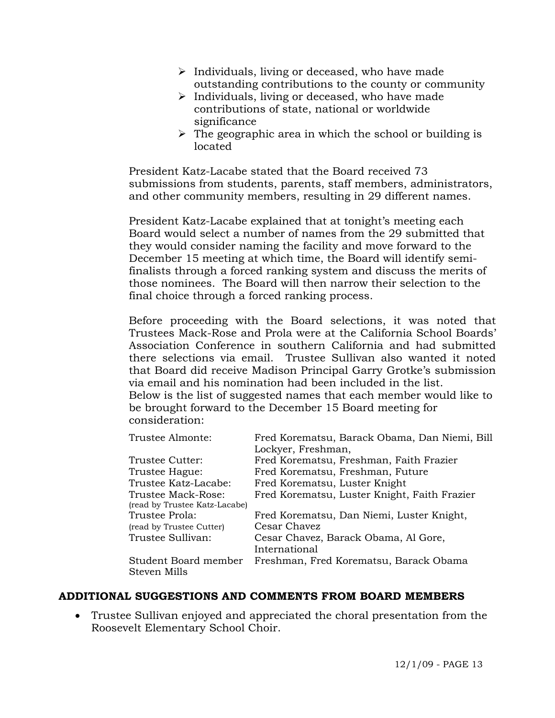- $\triangleright$  Individuals, living or deceased, who have made outstanding contributions to the county or community
- $\triangleright$  Individuals, living or deceased, who have made contributions of state, national or worldwide significance
- $\triangleright$  The geographic area in which the school or building is located

President Katz-Lacabe stated that the Board received 73 submissions from students, parents, staff members, administrators, and other community members, resulting in 29 different names.

President Katz-Lacabe explained that at tonight's meeting each Board would select a number of names from the 29 submitted that they would consider naming the facility and move forward to the December 15 meeting at which time, the Board will identify semifinalists through a forced ranking system and discuss the merits of those nominees. The Board will then narrow their selection to the final choice through a forced ranking process.

Before proceeding with the Board selections, it was noted that Trustees Mack-Rose and Prola were at the California School Boards' Association Conference in southern California and had submitted there selections via email. Trustee Sullivan also wanted it noted that Board did receive Madison Principal Garry Grotke's submission via email and his nomination had been included in the list. Below is the list of suggested names that each member would like to be brought forward to the December 15 Board meeting for consideration:

| Trustee Almonte:              | Fred Korematsu, Barack Obama, Dan Niemi, Bill |
|-------------------------------|-----------------------------------------------|
|                               | Lockyer, Freshman,                            |
| Trustee Cutter:               | Fred Korematsu, Freshman, Faith Frazier       |
| Trustee Hague:                | Fred Korematsu, Freshman, Future              |
| Trustee Katz-Lacabe:          | Fred Korematsu, Luster Knight                 |
| Trustee Mack-Rose:            | Fred Korematsu, Luster Knight, Faith Frazier  |
| (read by Trustee Katz-Lacabe) |                                               |
| Trustee Prola:                | Fred Korematsu, Dan Niemi, Luster Knight,     |
| (read by Trustee Cutter)      | Cesar Chavez                                  |
| Trustee Sullivan:             | Cesar Chavez, Barack Obama, Al Gore,          |
|                               | International                                 |
| Student Board member          | Freshman, Fred Korematsu, Barack Obama        |
| Steven Mills                  |                                               |

# **ADDITIONAL SUGGESTIONS AND COMMENTS FROM BOARD MEMBERS**

• Trustee Sullivan enjoyed and appreciated the choral presentation from the Roosevelt Elementary School Choir.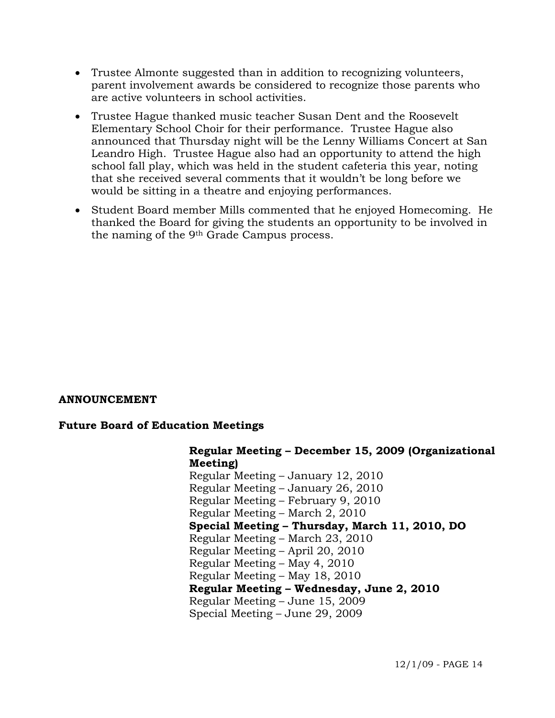- Trustee Almonte suggested than in addition to recognizing volunteers, parent involvement awards be considered to recognize those parents who are active volunteers in school activities.
- Trustee Hague thanked music teacher Susan Dent and the Roosevelt Elementary School Choir for their performance. Trustee Hague also announced that Thursday night will be the Lenny Williams Concert at San Leandro High. Trustee Hague also had an opportunity to attend the high school fall play, which was held in the student cafeteria this year, noting that she received several comments that it wouldn't be long before we would be sitting in a theatre and enjoying performances.
- Student Board member Mills commented that he enjoyed Homecoming. He thanked the Board for giving the students an opportunity to be involved in the naming of the 9th Grade Campus process.

# **ANNOUNCEMENT**

# **Future Board of Education Meetings**

**Regular Meeting – December 15, 2009 (Organizational Meeting)**  Regular Meeting – January 12, 2010 Regular Meeting – January 26, 2010 Regular Meeting – February 9, 2010 Regular Meeting – March 2, 2010 **Special Meeting – Thursday, March 11, 2010, DO** Regular Meeting – March 23, 2010 Regular Meeting – April 20, 2010 Regular Meeting – May 4, 2010 Regular Meeting – May 18, 2010 **Regular Meeting – Wednesday, June 2, 2010**  Regular Meeting – June 15, 2009 Special Meeting – June 29, 2009